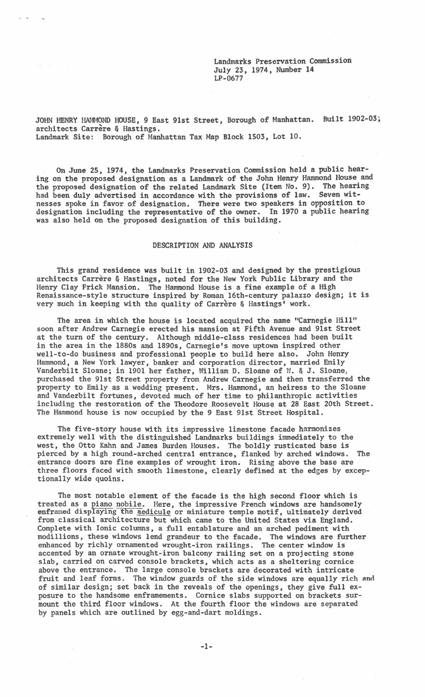Landmarks Preservation Commission July 23, 1974, Number 14 LP-0677

JOHN HENRY HANMOND HOUSE, 9 East 9lst Street, Borough of Manhattan. Built 1902-03; architects Carrere & Hastings. Landmark Site: Borough of Manhattan Tax Map Block 1503, Lot 10.

On June 25, 1974, the Landmarks Preservation Commission held a public hearing on the proposed designation as a Landmark of the John Henry Hammond House and the proposed designation of the related Landmark Site (Item No. 9). The hearing had been duly advertised in accordance with the provisions of law. Seven witnesses spoke in favor of designation. There were two speakers in opposition to designation including the representative of the owner. In 1970 a public hearing was also held on the proposed designation of this building.

## DESCRIPTION AND ANALYSIS

This grand residence was built in 1902-03 and designed by the prestigious architects Carrere & Hastings, noted for the New York Public Library and the Henry Clay Frick Mansion. The Hammond House is a fine example of a High Renaissance-style structure inspired by Roman 16th-century palazzo design; it is very much in keeping with the quality of Carrère & Hastings' work.

The area in which the house is located acquired the name "Carnegie Hill" soon after Andrew Carnegie erected his mansion at Fifth Avenue and 9lst Street at the turn of the century. Although middle-class residences had been built in the area in the 1880s and 1890s, Carnegie's move uptown inspired other well-to-do business and professional people to build here also. John Henry Hammond, a New York lawyer, banker and corporation director, married Emily Vanderbilt Sloane; in 1901 her father, William D. Sloane of W. & J. Sloane, purchased the 9lst Street property from Andrew Carnegie and then transferred the property to Emily as a wedding present. Mrs. Hammond, an heiress to the Sloane and Vanderbilt fortunes, devoted much of her time to philanthropic activities including the restoration of the Theodore Roosevelt House at 28 East 20th Street. The Hammond house is now occupied by the 9 East 91st Street Hospital.

The five-story house with its impressive limestone facade harmonizes extremely well with the distinguished Landmarks buildings immediately to the west, the Otto Kahn and James Burden Houses. The boldly rusticated base is pierced by a high round-arched central entrance, flanked by arched windows. The entrance doors are fine examples of wrought iron. Rising above the base are three floors faced with smooth limestone, clearly defined at the edges by exceptionally wide quoins.

The most notable element of the facade is the high second floor which is treated as a piano nobile. Here, the impressive French windows are handsomely enframed displaying the aedicule or miniature temple motif, ultimately derived from classical architecture but which came to the United States via England. Complete with Ionic columns, a full entablature and an arched pediment with modillions, these windows lend grandeur to the facade. The windows are further enhanced by richly ornamented wrought-iron railings. The center window is accented by an ornate wrought-iron balcony railing set on a projecting stone slab, carried on carved console brackets, which acts as a sheltering cornice above the entrance. The large console brackets are decorated with intricate fruit and leaf forms. The window guards of the side windows are equally rich and of similar design; set back in the reveals of the openings, they give full exposure to the handsome enframements. Cornice slabs supported on brackets surmount the third floor windows. At the fourth floor the windows are separated by panels which are outlined by egg-and-dart moldings.